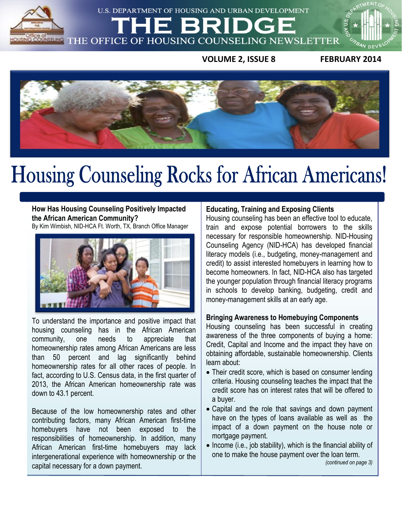

U.S. DEPARTMENT OF HOUSING AND URBAN DEVELOPMENT

E

 $\overline{u}$ **VOLUME 2, ISSUE 8 FEBRUARY 2014**



### **February 2014**

**How Has Housing Counseling Positively Impacted the African American Community?** By Kim Wimbish, NID-HCA Ft. Worth, TX, Branch Office Manager



To understand the importance and positive impact that housing counseling has in the African American community, one needs to appreciate that homeownership rates among African Americans are less than 50 percent and lag significantly behind homeownership rates for all other races of people. In fact, according to U.S. Census data, in the first quarter of 2013, the African American homeownership rate was down to 43.1 percent.

Because of the low homeownership rates and other contributing factors, many African American first-time homebuyers have not been exposed to the responsibilities of homeownership. In addition, many African American first-time homebuyers may lack intergenerational experience with homeownership or the capital necessary for a down payment.

#### **Educating, Training and Exposing Clients**

Housing counseling has been an effective tool to educate, train and expose potential borrowers to the skills necessary for responsible homeownership. NID-Housing Counseling Agency (NID-HCA) has developed financial literacy models (i.e., budgeting, money-management and credit) to assist interested homebuyers in learning how to become homeowners. In fact, NID-HCA also has targeted the younger population through financial literacy programs in schools to develop banking, budgeting, credit and money-management skills at an early age.

#### **Bringing Awareness to Homebuying Components**

Housing counseling has been successful in creating awareness of the three components of buying a home: Credit, Capital and Income and the impact they have on obtaining affordable, sustainable homeownership. Clients learn about:

- Their credit score, which is based on consumer lending criteria. Housing counseling teaches the impact that the credit score has on interest rates that will be offered to a buyer.
- Capital and the role that savings and down payment have on the types of loans available as well as the impact of a down payment on the house note or mortgage payment.
- Income (i.e., job stability), which is the financial ability of one to make the house payment over the loan term.

*(continued on page 3)*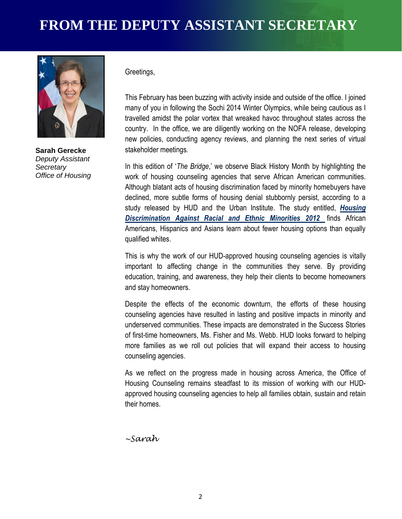

**Sarah Gerecke** *Deputy Assistant Secretary Office of Housing*

#### Greetings,

This February has been buzzing with activity inside and outside of the office. I joined many of you in following the Sochi 2014 Winter Olympics, while being cautious as I travelled amidst the polar vortex that wreaked havoc throughout states across the country. In the office, we are diligently working on the NOFA release, developing new policies, conducting agency reviews, and planning the next series of virtual stakeholder meetings.

In this edition of '*The Bridge*,' we observe Black History Month by highlighting the work of housing counseling agencies that serve African American communities. Although blatant acts of housing discrimination faced by minority homebuyers have declined, more subtle forms of housing denial stubbornly persist, according to a study released by HUD and the Urban Institute. The study entitled, *[Housing](http://www.huduser.org/portal/publications/fairhsg/hsg_discrimination_2012.html)  Discrimination [Against Racial and Ethnic Minorities 2012](http://www.huduser.org/portal/publications/fairhsg/hsg_discrimination_2012.html)* finds African Americans, Hispanics and Asians learn about fewer housing options than equally qualified whites.

This is why the work of our HUD-approved housing counseling agencies is vitally important to affecting change in the communities they serve. By providing education, training, and awareness, they help their clients to become homeowners and stay homeowners.

Despite the effects of the economic downturn, the efforts of these housing counseling agencies have resulted in lasting and positive impacts in minority and underserved communities. These impacts are demonstrated in the Success Stories of first-time homeowners, Ms. Fisher and Ms. Webb. HUD looks forward to helping more families as we roll out policies that will expand their access to housing counseling agencies.

As we reflect on the progress made in housing across America, the Office of Housing Counseling remains steadfast to its mission of working with our HUDapproved housing counseling agencies to help all families obtain, sustain and retain their homes.

*~Sarah*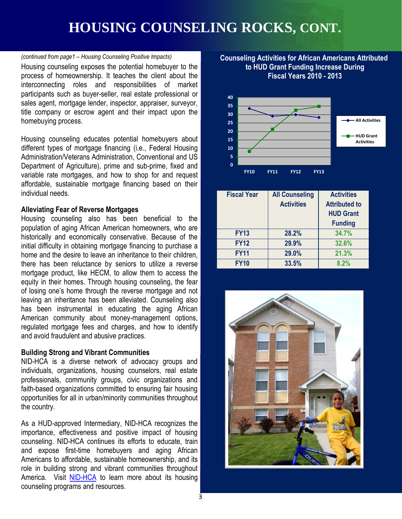## **HOUSING COUNSELING ROCKS, CONT.**

#### *(continued from page1 – Housing Counseling Positive Impacts)*

Housing counseling exposes the potential homebuyer to the process of homeownership. It teaches the client about the interconnecting roles and responsibilities of market participants such as buyer-seller, real estate professional or sales agent, mortgage lender, inspector, appraiser, surveyor, title company or escrow agent and their impact upon the homebuying process.

Housing counseling educates potential homebuyers about different types of mortgage financing (i.e., Federal Housing Administration/Veterans Administration, Conventional and US Department of Agriculture), prime and sub-prime, fixed and variable rate mortgages, and how to shop for and request affordable, sustainable mortgage financing based on their individual needs.

#### **Alleviating Fear of Reverse Mortgages**

home and the desire to leave an inheritance to their children, **Company 1991 1991 1991 1991 1991 1991 1991** 1991<br>there has been reluctance by seniors to utilize a reverse **1991 1991 1991** Housing counseling also has been beneficial to the population of aging African American homeowners, who are historically and economically conservative. Because of the initial difficulty in obtaining mortgage financing to purchase a there has been reluctance by seniors to utilize a reverse mortgage product, like HECM, to allow them to access the equity in their homes. Through housing counseling, the fear of losing one's home through the reverse mortgage and not leaving an inheritance has been alleviated. Counseling also has been instrumental in educating the aging African American community about money-management options, regulated mortgage fees and charges, and how to identify and avoid fraudulent and abusive practices.

#### **Building Strong and Vibrant Communities**

NID-HCA is a diverse network of advocacy groups and individuals, organizations, housing counselors, real estate professionals, community groups, civic organizations and faith-based organizations committed to ensuring fair housing opportunities for all in urban/minority communities throughout the country.

As a HUD-approved Intermediary, NID-HCA recognizes the importance, effectiveness and positive impact of housing counseling. NID-HCA continues its efforts to educate, train and expose first-time homebuyers and aging African Americans to affordable, sustainable homeownership, and its role in building strong and vibrant communities throughout America. Visit [NID-HCA](http://www.nidonline.org/) to learn more about its housing counseling programs and resources.

#### **Counseling Activities for African Americans Attributed to HUD Grant Funding Increase During Fiscal Years 2010 - 2013**



| <b>Fiscal Year</b> | <b>All Counseling</b> | <b>Activities</b>    |
|--------------------|-----------------------|----------------------|
|                    | <b>Activities</b>     | <b>Attributed to</b> |
|                    |                       | <b>HUD Grant</b>     |
|                    |                       | <b>Funding</b>       |
| <b>FY13</b>        | 28.2%                 | 34.7%                |
| <b>FY12</b>        | 29.9%                 | 32.6%                |
| <b>FY11</b>        | 29.0%                 | 21.3%                |
| <b>FY10</b>        | 33.5%                 | 8.2%                 |

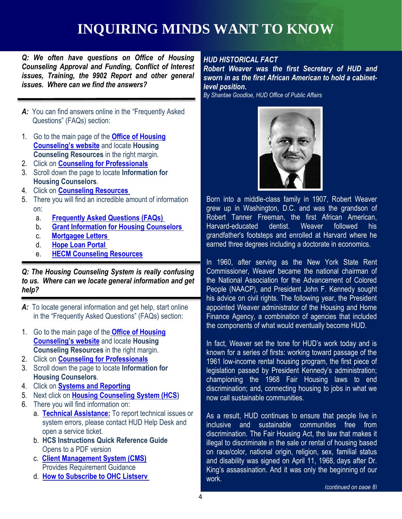## **INQUIRING MINDS WANT TO KNOW**

*Q: We often have questions on Office of Housing Counseling Approval and Funding, Conflict of Interest issues, Training, the 9902 Report and other general issues. Where can we find the answers?*

- *A:* You can find answers online in the "Frequently Asked Questions" (FAQs) section:
- 1. Go to the main page of the **[Office of Housing](http://portal.hud.gov/hudportal/HUD?src=/program_offices/housing/sfh/hcc/)  [Counseling's website](http://portal.hud.gov/hudportal/HUD?src=/program_offices/housing/sfh/hcc/)** and locate **Housing Counseling Resources** in the right margin.
- 2. Click on **[Counseling for Professionals](http://portal.hud.gov/hudportal/HUD?src=/program_offices/housing/sfh/hcc/hcc_home)**
- 3. Scroll down the page to locate **Information for Housing Counselors**.
- 4. Click on **[Counseling Resources](http://portal.hud.gov/hudportal/HUD?src=/program_offices/housing/sfh/hcc/ohc_resources)**
- 5. There you will find an incredible amount of information on:
	- a. **[Frequently Asked Questions \(FAQs\)](http://portal.hud.gov/hudportal/HUD?src=/program_offices/housing/sfh/hcc/hc_faq)**
	- b**. [Grant Information for Housing Counselors](http://portal.hud.gov/hudportal/HUD?src=/program_offices/housing/sfh/hcc/ohc_grant)**
	- c. **[Mortgagee Letters](http://portal.hud.gov/hudportal/HUD?src=/program_offices/administration/hudclips/letters/mortgagee)**
	- d. **[Hope Loan Portal](https://www.hopeloanportal.org/index.php)**
	- e. **[HECM Counseling Resources](http://portal.hud.gov/hudportal/HUD?src=/program_offices/housing/sfh/hcc/hecm)**

#### *Q: The Housing Counseling System is really confusing to us. Where can we locate general information and get help?*

- *A:* To locate general information and get help, start online in the "Frequently Asked Questions" (FAQs) section:
- 1. Go to the main page of the **[Office of Housing](http://portal.hud.gov/hudportal/HUD?src=/program_offices/housing/sfh/hcc/)  [Counseling's website](http://portal.hud.gov/hudportal/HUD?src=/program_offices/housing/sfh/hcc/)** and locate **Housing Counseling Resources** in the right margin.
- 2. Click on **[Counseling for Professionals](http://portal.hud.gov/hudportal/HUD?src=/program_offices/housing/sfh/hcc/hcc_home)**
- 3. Scroll down the page to locate **Information for Housing Counselors**.
- 4. Click on **[Systems and Reporting](http://portal.hud.gov/hudportal/HUD?src=/program_offices/housing/sfh/hcc/ohc_sr)**
- 5. Next click on **[Housing Counseling System \(HCS\)](http://portal.hud.gov/hudportal/HUD?src=/program_offices/housing/sfh/hcc/ohc_hcs)**
- 6. There you will find information on:
	- a. **[Technical Assistance:](http://portal.hud.gov/hudportal/HUD?src=/program_offices/housing/sfh/hcc/hcs_help01)** To report technical issues or system errors, please contact HUD Help Desk and open a service ticket.
	- b. **HCS Instructions Quick Reference Guide** Opens to a PDF version
	- c. **[Client Management System \(CMS\)](http://portal.hud.gov/hudportal/HUD?src=/program_offices/housing/sfh/hcc/cms)** Provides Requirement Guidance
	- d. **[How to Subscribe to OHC Listserv](http://portal.hud.gov/hudportal/HUD?src=/program_offices/housing/sfh/hcc/ohc_listserv)**

### *HUD HISTORICAL FACT*

*Robert Weaver was the first Secretary of HUD and sworn in as the first African American to hold a cabinetlevel position.*

*By Shantae Goodloe, HUD Office of Public Affairs*



Born into a middle-class family in 1907, Robert Weaver grew up in Washington, D.C. and was the grandson of Robert Tanner Freeman, the first African American, Harvard-educated dentist. Weaver followed his grandfather's footsteps and enrolled at Harvard where he earned three degrees including a doctorate in economics.

**CHAMPIONS CORRECTES**<br>The 1960, after serving as the New York State Rent Commissioner, Weaver became the national chairman of the National Association for the Advancement of Colored People (NAACP), and President John F. Kennedy sought his advice on civil rights. The following year, the President appointed Weaver administrator of the Housing and Home Finance Agency, a combination of agencies that included the components of what would eventually become HUD.

> In fact, Weaver set the tone for HUD's work today and is known for a series of firsts: working toward passage of the 1961 low-income rental housing program, the first piece of legislation passed by President Kennedy's administration; championing the 1968 Fair Housing laws to end discrimination; and, connecting housing to jobs in what we now call sustainable communities.

> As a result, HUD continues to ensure that people live in inclusive and sustainable communities free from discrimination. The Fair Housing Act, the law that makes it illegal to discriminate in the sale or rental of housing based on race/color, national origin, religion, sex, familial status and disability was signed on April 11, 1968, days after Dr. King's assassination. And it was only the beginning of our work.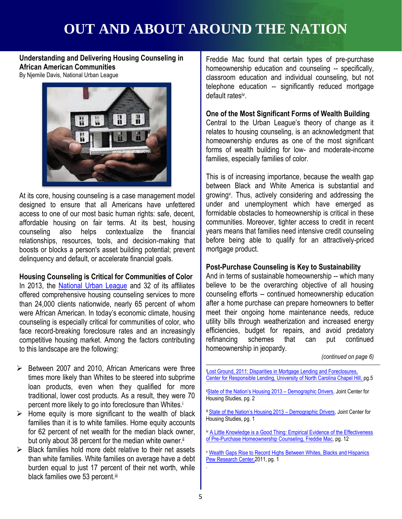# **OUT AND ABOUT AROUND THE NATION**

**Understanding and Delivering Housing Counseling in African American Communities** 

By Njemile Davis, National Urban League



**CODIC OF SHOCKS OF SERVICE ACCELERATIONS OF SERVICE ARRANGEMENT CONSUMING SERVICE ARRANGEMENT CONSUMING SCRIPTION** At its core, housing counseling is a case management model designed to ensure that all Americans have unfettered access to one of our most basic human rights: safe, decent, affordable housing on fair terms. At its best, housing counseling also helps contextualize the financial relationships, resources, tools, and decision-making that boosts or blocks a person's asset building potential; prevent

#### **Housing Counseling is Critical for Communities of Color**

In 2013, the [National Urban League](http://www.iamempowered.com/programs/comprehensive-housing-counseling) and 32 of its affiliates offered comprehensive housing counseling services to more than 24,000 clients nationwide, nearly 65 percent of whom were African American. In today's economic climate, housing counseling is especially critical for communities of color, who face record-breaking foreclosure rates and an increasingly competitive housing market. Among the factors contributing to this landscape are the following:

- $\triangleright$  Between 2007 and 2010, African Americans were three times more likely than Whites to be steered into subprime loan products, even when they qualified for more traditional, lower cost products. As a result, they were 70 percent more likely to go into foreclosure than Whites.<sup>i</sup>
- $\triangleright$  Home equity is more significant to the wealth of black families than it is to white families. Home equity accounts for 62 percent of net wealth for the median black owner, but only about 38 percent for the median white owner.<sup>ii</sup>
- $\triangleright$  Black families hold more debt relative to their net assets than white families. White families on average have a debt burden equal to just 17 percent of their net worth, while black families owe 53 percent.iii

Freddie Mac found that certain types of pre-purchase homeownership education and counseling -- specifically, classroom education and individual counseling, but not telephone education -- significantly reduced mortgage default ratesiv .

#### **One of the Most Significant Forms of Wealth Building**

Central to the Urban League's theory of change as it relates to housing counseling, is an acknowledgment that homeownership endures as one of the most significant forms of wealth building for low- and moderate-income families, especially families of color.

This is of increasing importance, because the wealth gap between Black and White America is substantial and growing<sup>v</sup> . Thus, actively considering and addressing the under and unemployment which have emerged as formidable obstacles to homeownership is critical in these communities. Moreover, tighter access to credit in recent years means that families need intensive credit counseling before being able to qualify for an attractively-priced mortgage product.

#### **Post-Purchase Counseling is Key to Sustainability**

And in terms of sustainable homeownership -- which many believe to be the overarching objective of all housing counseling efforts -- continued homeownership education after a home purchase can prepare homeowners to better meet their ongoing home maintenance needs, reduce utility bills through weatherization and increased energy efficiencies, budget for repairs, and avoid predatory refinancing schemes that can put continued homeownership in jeopardy.

*(continued on page 6)*

- **[Lost Ground, 2011: Disparities in Mortgage Lending and Foreclosures,](http://www.responsiblelending.org/mortgage-lending/research-analysis/Lost-Ground-2011.pdf)** [Center for Responsible Lending, University of North Carolina Chapel Hill, p](http://www.responsiblelending.org/mortgage-lending/research-analysis/Lost-Ground-2011.pdf)g.5
- ii[State of the Nation's Housing 2013 –](http://www.jchs.harvard.edu/sites/jchs.harvard.edu/files/son2013_chap3_demographic_drivers.pdf) Demographic Drivers, Joint Center for Housing Studies, pg. 2
- iii [State of the Nation's Housing 2013 –](http://www.jchs.harvard.edu/sites/jchs.harvard.edu/files/son2013_chap3_demographic_drivers.pdf) Demographic Drivers, Joint Center for Housing Studies, pg. 1
- iv [A Little Knowledge is a Good Thing: Empirical Evidence of the Effectiveness](http://www.freddiemac.com/corporate/reports/pdf/homebuyers_study.pdf)  [of Pre-Purchase Homeownership Counseling, Freddie Mac,](http://www.freddiemac.com/corporate/reports/pdf/homebuyers_study.pdf) pg. 12
- <sup>v</sup> [Wealth Gaps Rise to Record Highs Between Whites, Blacks and Hispanics](http://www.pewsocialtrends.org/files/2011/07/SDT-Wealth-Report_7-26-11_FINAL.pdf)  Pew Research Center, 2011, pg. 1

.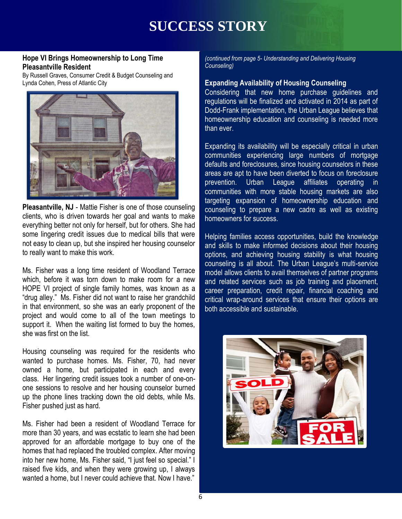## **SUCCESS STORY**

#### **Hope VI Brings Homeownership to Long Time Pleasantville Resident**

By Russell Graves, Consumer Credit & Budget Counseling and Lynda Cohen, Press of Atlantic City



**Pleasantville, NJ** - Mattie Fisher is one of those counseling clients, who is driven towards her goal and wants to make everything better not only for herself, but for others. She had some lingering credit issues due to medical bills that were not easy to clean up, but she inspired her housing counselor to really want to make this work.

Ms. Fisher was a long time resident of Woodland Terrace which, before it was torn down to make room for a new HOPE VI project of single family homes, was known as a "drug alley." Ms. Fisher did not want to raise her grandchild in that environment, so she was an early proponent of the project and would come to all of the town meetings to support it. When the waiting list formed to buy the homes, she was first on the list.

Housing counseling was required for the residents who wanted to purchase homes. Ms. Fisher, 70, had never owned a home, but participated in each and every class. Her lingering credit issues took a number of one-onone sessions to resolve and her housing counselor burned up the phone lines tracking down the old debts, while Ms. Fisher pushed just as hard.

Ms. Fisher had been a resident of Woodland Terrace for more than 30 years, and was ecstatic to learn she had been approved for an affordable mortgage to buy one of the homes that had replaced the troubled complex. After moving into her new home, Ms. Fisher said, "I just feel so special." I raised five kids, and when they were growing up, I always wanted a home, but I never could achieve that. Now I have."

*(continued from page 5- Understanding and Delivering Housing Counseling)*

#### **Expanding Availability of Housing Counseling**

Considering that new home purchase guidelines and regulations will be finalized and activated in 2014 as part of Dodd-Frank implementation, the Urban League believes that homeownership education and counseling is needed more than ever.

Expanding its availability will be especially critical in urban communities experiencing large numbers of mortgage defaults and foreclosures, since housing counselors in these areas are apt to have been diverted to focus on foreclosure prevention. Urban League affiliates operating in communities with more stable housing markets are also targeting expansion of homeownership education and counseling to prepare a new cadre as well as existing homeowners for success.

**CHAMPIONS, and achieving housing stability is what housing<br>Counseling is all about The Urban League's multi-service** Helping families access opportunities, build the knowledge and skills to make informed decisions about their housing counseling is all about. The Urban League's multi-service model allows clients to avail themselves of partner programs and related services such as job training and placement, career preparation, credit repair, financial coaching and critical wrap-around services that ensure their options are both accessible and sustainable.

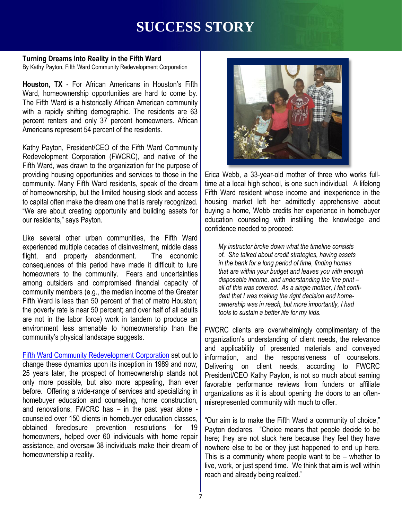### **SUCCESS STORY**

### **Turning Dreams Into Reality in the Fifth Ward**

By Kathy Payton, Fifth Ward Community Redevelopment Corporation

**Houston, TX** - For African Americans in Houston's Fifth Ward, homeownership opportunities are hard to come by. The Fifth Ward is a historically African American community with a rapidly shifting demographic. The residents are 63 percent renters and only 37 percent homeowners. African Americans represent 54 percent of the residents.

Kathy Payton, President/CEO of the Fifth Ward Community Redevelopment Corporation (FWCRC), and native of the Fifth Ward, was drawn to the organization for the purpose of providing housing opportunities and services to those in the community. Many Fifth Ward residents, speak of the dream of homeownership, but the limited housing stock and access to capital often make the dream one that is rarely recognized. "We are about creating opportunity and building assets for our residents," says Payton.

Like several other urban communities, the Fifth Ward experienced multiple decades of disinvestment, middle class flight, and property abandonment. The economic consequences of this period have made it difficult to lure homeowners to the community. Fears and uncertainties among outsiders and compromised financial capacity of community members (e.g., the median income of the Greater Fifth Ward is less than 50 percent of that of metro Houston; the poverty rate is near 50 percent; and over half of all adults are not in the labor force) work in tandem to produce an environment less amenable to homeownership than the community's physical landscape suggests.

[Fifth Ward Community Redevelopment Corporation](http://www.fifthwardcrc.org/index.asp) set out to change these dynamics upon its inception in 1989 and now, 25 years later, the prospect of homeownership stands not only more possible, but also more appealing, than ever before. Offering a wide-range of services and specializing in homebuyer education and counseling, home construction, and renovations, FWCRC has – in the past year alone counseled over 150 clients in homebuyer education classes, obtained foreclosure prevention resolutions for 19 homeowners, helped over 60 individuals with home repair assistance, and oversaw 38 individuals make their dream of homeownership a reality.



Erica Webb, a 33-year-old mother of three who works fulltime at a local high school, is one such individual. A lifelong Fifth Ward resident whose income and inexperience in the housing market left her admittedly apprehensive about buying a home, Webb credits her experience in homebuyer education counseling with instilling the knowledge and confidence needed to proceed:

nment. The economic | of. She talked about credit strategies, having asse<br>ve made it difficult to lure | in the bank for a long period of time, finding homes *My instructor broke down what the timeline consists of. She talked about credit strategies, having assets that are within your budget and leaves you with enough disposable income, and understanding the fine print – all of this was covered. As a single mother, I felt confident that I was making the right decision and homeownership was in reach, but more importantly, I had tools to sustain a better life for my kids.* 

> FWCRC clients are overwhelmingly complimentary of the organization's understanding of client needs, the relevance and applicability of presented materials and conveyed information, and the responsiveness of counselors. Delivering on client needs, according to FWCRC President/CEO Kathy Payton, is not so much about earning favorable performance reviews from funders or affiliate organizations as it is about opening the doors to an oftenmisrepresented community with much to offer.

> "Our aim is to make the Fifth Ward a community of choice," Payton declares. "Choice means that people decide to be here; they are not stuck here because they feel they have nowhere else to be or they just happened to end up here. This is a community where people want to be – whether to live, work, or just spend time. We think that aim is well within reach and already being realized."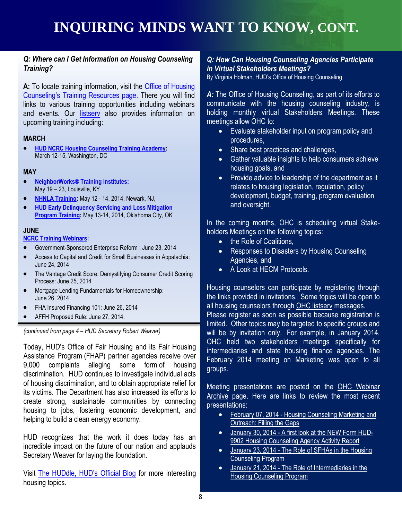#### *Q: Where can I Get Information on Housing Counseling Training?*

**A:** To locate training information, visit the [Office of Housing](http://portal.hud.gov/hudportal/HUD?src=/program_offices/housing/sfh/hcc/ohc_training)  [Counseling's Training Resources page.](http://portal.hud.gov/hudportal/HUD?src=/program_offices/housing/sfh/hcc/ohc_training) There you will find links to various training opportunities including webinars and events. Our listsery also provides information on upcoming training including:

#### **MARCH**

 **[HUD NCRC Housing Counseling Training Academy:](http://www.eventbrite.com/e/2014-ncrc-annual-conference-registration-6341645031)** March 12-15, Washington, DC

#### **MAY**

- **[NeighborWorks® Training Institutes:](http://trainingcalendar.nw.org/TrainingCalendar.aspx)** May 19 – 23, Louisville, KY
- **[NHNLA Training:](http://www.nhnla.org/index.cfm?fuseaction=Page.viewPage&pageId=538&parentID=503&nodeID=1)** May 12 14, 2014, Newark, NJ,
- **[HUD Early Delinquency Servicing and Loss Mitigation](http://portal.hud.gov/hudportal/HUD?src=/program_offices/housing/sfh/nsc/training)  [Program Training:](http://portal.hud.gov/hudportal/HUD?src=/program_offices/housing/sfh/nsc/training)** May 13-14, 2014, Oklahoma City, OK

#### **JUNE**

**[NCRC Training Webinars:](https://live.blueskybroadcast.com/bsb/client/CL_DEFAULT.asp?Client=901883&PCAT=7321&CAT=7321)**

- Government-Sponsored Enterprise Reform : June 23, 2014
- Access to Capital and Credit for Small Businesses in Appalachia: **All Agencies, and Agencies**, and June 24, 2014
- The Vantage Credit Score: Demystifying Consumer Credit Scoring Process: June 25, 2014
- Mortgage Lending Fundamentals for Homeownership: June 26, 2014
- FHA Insured Financing 101: June 26, 2014
- AFFH Proposed Rule: June 27, 2014.

*(continued from page 4 – HUD Secretary Robert Weaver)*

Today, HUD's Office of Fair Housing and its Fair Housing Assistance Program (FHAP) partner agencies receive over 9,000 complaints alleging some form of housing discrimination. HUD continues to investigate individual acts of housing discrimination, and to obtain appropriate relief for its victims. The Department has also increased its efforts to create strong, sustainable communities by connecting housing to jobs, fostering economic development, and helping to build a clean energy economy.

HUD recognizes that the work it does today has an incredible impact on the future of our nation and applauds Secretary Weaver for laying the foundation.

Visit [The HUDdle, HUD's Official Blog](http://blog.hud.gov/) for more interesting housing topics.

#### *Q: How Can Housing Counseling Agencies Participate in Virtual Stakeholders Meetings?*

By Virginia Holman, HUD's Office of Housing Counseling

*A:* The Office of Housing Counseling, as part of its efforts to communicate with the housing counseling industry, is holding monthly virtual Stakeholders Meetings. These meetings allow OHC to:

- Evaluate stakeholder input on program policy and procedures,
- Share best practices and challenges,
- Gather valuable insights to help consumers achieve housing goals, and
- Provide advice to leadership of the department as it relates to housing legislation, regulation, policy development, budget, training, program evaluation and oversight.

In the coming months, OHC is scheduling virtual Stakeholders Meetings on the following topics:

- the Role of Coalitions,
- Responses to Disasters by Housing Counseling Agencies, and
- A Look at HECM Protocols.

Housing counselors can participate by registering through the links provided in invitations. Some topics will be open to all housing counselors through [OHC listserv](http://portal.hud.gov/hudportal/HUD?src=/program_offices/housing/sfh/hcc/ohc_listserv) messages.

Please register as soon as possible because registration is limited. Other topics may be targeted to specific groups and will be by invitation only. For example, in January 2014, OHC held two stakeholders meetings specifically for intermediaries and state housing finance agencies. The February 2014 meeting on Marketing was open to all groups.

Meeting presentations are posted on the OHC Webinar [Archive](http://portal.hud.gov/hudportal/HUD?src=/program_offices/housing/sfh/hcc/OHC_TRAINARC) page. Here are links to review the most recent presentations:

- February 07, 2014 Housing Counseling Marketing and [Outreach: Filling the Gaps](http://portal.hud.gov/hudportal/documents/huddoc?id=OHC_MKTG020714.pdf)
- January 30, 2014 [A first look at the NEW Form HUD-](http://portal.hud.gov/hudportal/documents/huddoc?id=OHC_9902013014.pdf)[9902 Housing Counseling Agency Activity Report](http://portal.hud.gov/hudportal/documents/huddoc?id=OHC_9902013014.pdf)
- January 23, 2014 The Role of SFHAs in the Housing [Counseling Program](http://portal.hud.gov/hudportal/documents/huddoc?id=OHC_SHFA012314.pdf)
- January 21, 2014 [The Role of Intermediaries in the](http://portal.hud.gov/hudportal/documents/huddoc?id=OHC_SHI012114.pdf)  [Housing Counseling Program](http://portal.hud.gov/hudportal/documents/huddoc?id=OHC_SHI012114.pdf)